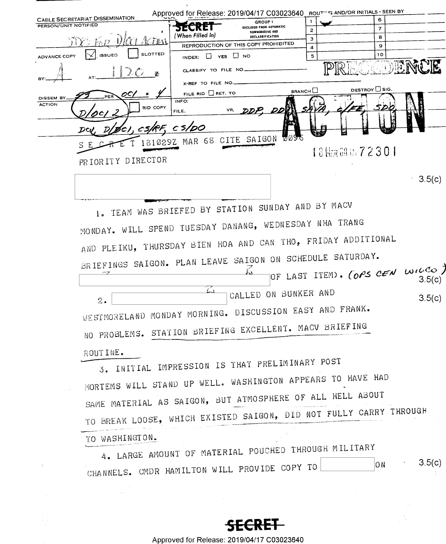|                             |                                                                   |                                       | Approved for Release: 2019/04/17 C03023640 ROUTHI'S AND/OR INITIALS - SEEN BY |                   |                               |           |
|-----------------------------|-------------------------------------------------------------------|---------------------------------------|-------------------------------------------------------------------------------|-------------------|-------------------------------|-----------|
| <b>PERSON/UNIT NOTIFIED</b> | <b>CABLE SECRETARIAT DISSEMINATION</b>                            | <b>SECRE1</b>                         | <b>GROUP</b> 1<br><b>EXCLUDED FROM AUTOMATIC</b>                              | 1                 | 6<br>$\overline{7}$           |           |
|                             |                                                                   | (When Filled In)                      | DOWNGRADING AND<br>DECLASSIFICATION                                           | $\mathbf{z}$<br>3 | 8                             |           |
|                             | FOD VICEL ACTEN                                                   |                                       | REPRODUCTION OF THIS COPY PROHIBITED                                          | 4                 | 9                             |           |
| ADVANCE COPY                | <b>SLOTTED</b><br><b>ISSUED</b>                                   | INDEX: $\Box$ YES $\Box$ NO           |                                                                               | 5                 | 10                            |           |
|                             | $\mathbf z$                                                       | CLASSIFY TO FILE NO                   |                                                                               |                   |                               |           |
|                             | OC,                                                               | X-REF TO FILE NO.<br>FILE RID RET. TO |                                                                               | BRANCH            | DESTROY CSIG.                 |           |
| DISSEM BY<br><b>ACTION</b>  | RID COPY                                                          | INFO:                                 |                                                                               |                   |                               |           |
|                             |                                                                   | VR,<br>FILE,                          |                                                                               |                   |                               |           |
|                             | ØCI. CS.                                                          | cs/DO                                 |                                                                               |                   |                               |           |
|                             | S                                                                 | 181029Z MAR 68 CITE SAIGON            | 7095                                                                          |                   |                               |           |
|                             | PRIORITY DIRECTOR                                                 |                                       |                                                                               |                   | 18臨淄區72301                    |           |
|                             |                                                                   |                                       |                                                                               |                   |                               |           |
|                             |                                                                   |                                       |                                                                               |                   |                               | $-3.5(c)$ |
|                             |                                                                   |                                       |                                                                               |                   |                               |           |
|                             | 1. TEAM WAS BRIEFED BY STATION SUNDAY AND BY MACV                 |                                       |                                                                               |                   |                               |           |
|                             | MONDAY. WILL SPEND TUESDAY DANANG, WEDNESDAY NHA TRANG            |                                       |                                                                               |                   |                               |           |
|                             | AND PLEIKU, THURSDAY BIEN HOA AND CAN THO, FRIDAY ADDITIONAL      |                                       |                                                                               |                   |                               |           |
|                             |                                                                   |                                       |                                                                               |                   |                               |           |
|                             | BRIEFINGS SAIGON. PLAN LEAVE SAIGON ON SCHEDULE SATURDAY.         |                                       |                                                                               |                   |                               |           |
|                             |                                                                   |                                       |                                                                               |                   | OF LAST ITEM. (OPS CEN WILCO) | 3.5(c)    |
|                             |                                                                   | اسا                                   | CALLED ON BUNKER AND                                                          |                   |                               | 3.5(c)    |
|                             | 2.<br>WESTMORELAND MONDAY MORNING. DISCUSSION EASY AND FRANK.     |                                       |                                                                               |                   |                               |           |
|                             |                                                                   |                                       |                                                                               |                   |                               |           |
|                             | NO PROBLEMS. STATION BRIEFING EXCELLENT. MACV BRIEFING            |                                       |                                                                               |                   |                               |           |
|                             | ROUTINE.                                                          |                                       |                                                                               |                   |                               |           |
|                             | 3. INITIAL IMPRESSION IS THAT PRELIMINARY POST                    |                                       |                                                                               |                   |                               |           |
|                             |                                                                   |                                       |                                                                               |                   |                               |           |
|                             | MORTEMS WILL STAND UP WELL. WASHINGTON APPEARS TO HAVE HAD        |                                       |                                                                               |                   |                               |           |
|                             | SAME MATERIAL AS SAIGON, BUT ATMOSPHERE OF ALL HELL ABOUT         |                                       |                                                                               |                   |                               |           |
|                             | TO BREAK LOOSE, WHICH EXISTED SAIGON, DID NOT FULLY CARRY THROUGH |                                       |                                                                               |                   |                               |           |
|                             | TO WASHINGTON.                                                    |                                       |                                                                               |                   |                               |           |
|                             | 4. LARGE AMOUNT OF MATERIAL POUCHED THROUGH MILITARY              |                                       |                                                                               |                   |                               |           |
|                             |                                                                   |                                       |                                                                               |                   | ON .                          | 3.5(c)    |
|                             | CHANNELS. CMDR HAMILTON WILL PROVIDE COPY TO                      |                                       |                                                                               |                   |                               |           |
|                             |                                                                   |                                       |                                                                               |                   |                               |           |

**SECRET**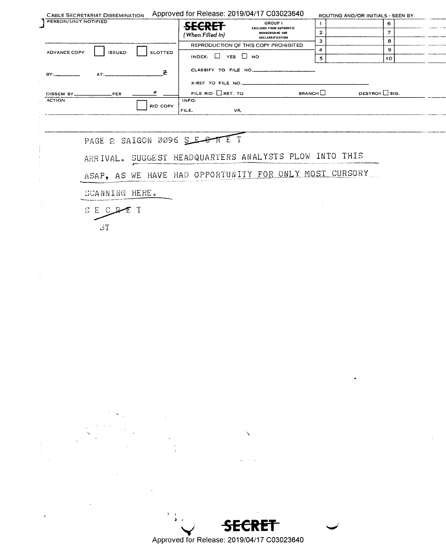|                      | <b>CABLE SECRETARIAT DISSEMINATION</b> |                | Approved for Release: 2019/04/17 C03023640 |                                                        |                      | ROUTING AND/OR INITIALS - SEEN BY |
|----------------------|----------------------------------------|----------------|--------------------------------------------|--------------------------------------------------------|----------------------|-----------------------------------|
| PERSON/UNIT NOTIFIED |                                        |                | <b>SECRET</b>                              | GROUP 1<br><b>EXCLUDED FROM AUTOMATIC</b>              | $\mathbf{1}$         | 6                                 |
|                      |                                        |                | (When Filled In)                           | DOWNGRADING AND<br>DECLASSIFICATION                    | 2                    | $\overline{7}$                    |
|                      |                                        |                |                                            | REPRODUCTION OF THIS COPY PROHIBITED                   | з                    | 8                                 |
| <b>ADVANCE COPY</b>  | <b>ISSUED</b>                          | <b>SLOTTED</b> | INDEX: $\Box$ YES $\Box$ NO                |                                                        | 4<br>5               | 9<br>10                           |
|                      | AT:                                    | Z.             | CLASSIFY TO FILE NO.                       |                                                        |                      |                                   |
|                      |                                        |                | X-REF TO FILE NO.                          |                                                        |                      |                                   |
| DISSEM BY_____       | PER                                    |                | FILE RID $\Box$ RET. TO                    |                                                        | <b>BRANCH</b> $\Box$ | DESTROY $\Box$ SIG.               |
| <b>ACTION</b>        |                                        | RID COPY       | INFO:<br>FILE,<br>VR,                      |                                                        |                      |                                   |
|                      |                                        |                |                                            |                                                        |                      |                                   |
|                      |                                        |                | PAGE 2 SAIGON 0096 SECTE T                 |                                                        |                      |                                   |
|                      |                                        |                |                                            | ARRIVAL. SUGGEST HEADQUARTERS ANALYSTS PLOW INTO THIS  |                      |                                   |
|                      |                                        |                |                                            | ASAP, AS WE HAVE HAD OPPORTUNITY FOR ONLY MOST CURSORY |                      |                                   |
|                      | SCANNING HERE.                         |                |                                            |                                                        |                      |                                   |
|                      | SECR                                   |                |                                            |                                                        |                      |                                   |
|                      | ВT                                     |                |                                            |                                                        |                      |                                   |



 $\bullet$ 

 $\sim$ 

Approved for Release: 2019/04/17 C03023640

 $\frac{1}{\sqrt{4}}$ 

 $\ddot{\phantom{a}}$ 

 $\overline{z}$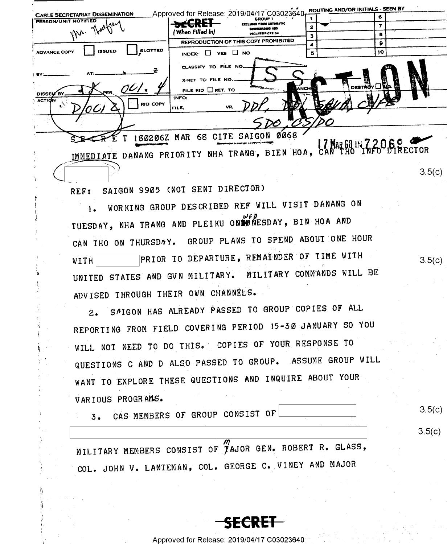| <b>CABLE SECRETARIAT DISSEMINATION</b>                 | Approved for Release: 2019/04/17 C03023640                                                  | <b>ROUTING MADY OF THE TRUS</b><br>6. |     |
|--------------------------------------------------------|---------------------------------------------------------------------------------------------|---------------------------------------|-----|
| PERSON/UNIT NOTIFIED<br>Mr. Rooker                     | <b>GROUP 1</b><br><i>r</i> det<br><b>EXCLUDED FROM AUTOMATIC</b><br>CONTINGRADING AND       | 7                                     |     |
|                                                        | 'When Filled In)<br>DECLASSIFICATION                                                        | 8                                     |     |
|                                                        | REPRODUCTION OF THIS COPY PROHIBITED                                                        |                                       |     |
| <b>SLOTTED</b><br><b>ISSUED</b><br><b>ADVANCE COPY</b> | YES I NO<br>INDEX: LI                                                                       | 10<br>5                               |     |
| BY:                                                    | CLASSIFY TO FILE NO<br>X-REF TO FILE NO.                                                    |                                       |     |
| PER                                                    | ANCH<br>FILE RID RET. TO                                                                    | DESTROY OI                            | ËĿ. |
| DISSEM BY<br><b>ACTION</b><br><b>RID COPY</b><br>0C)   | INFO:<br>VR.<br>FILE.                                                                       |                                       |     |
|                                                        |                                                                                             |                                       |     |
|                                                        | <b>0068</b><br>180206Z MAR 68 CITE SAIGON<br>IMMEDIATE DANANG PRIORITY NHA TRANG, BIEN HOA, | <b>7 MAR 68 IN 72068</b>              |     |
|                                                        |                                                                                             |                                       |     |

SAIGON 9905 (NOT SENT DIRECTOR) REF:

WORKING GROUP DESCRIBED REF WILL VISIT DANANG ON  $1.$ TUESDAY, NHA TRANG AND PLEIKU ONLYWESDAY, BIN HOA AND CAN THO ON THURSDAY. GROUP PLANS TO SPEND ABOUT ONE HOUR PRIOR TO DEPARTURE, REMAINDER OF TIME WITH WITH UNITED STATES AND GVN MILITARY. MILITARY COMMANDS WILL BE ADVISED THROUGH THEIR OWN CHANNELS.

SAIGON HAS ALREADY PASSED TO GROUP COPIES OF ALL  $2.$ REPORTING FROM FIELD COVERING PERIOD 15-30 JANUARY SO YOU WILL NOT NEED TO DO THIS. COPIES OF YOUR RESPONSE TO QUESTIONS C AND D ALSO PASSED TO GROUP. ASSUME GROUP WILL WANT TO EXPLORE THESE QUESTIONS AND INQUIRE ABOUT YOUR VARIOUS PROGRAMS.

CAS MEMBERS OF GROUP CONSIST OF  $3.$ 

 $3.5(c)$ 

 $3.5(c)$ 

 $3.5(c)$ 

 $3.5(c)$ 

MILITARY MEMBERS CONSIST OF TAJOR GEN. ROBERT R. GLASS, COL. JOHN V. LANTEMAN, COL. GEORGE C. VINEY AND MAJOR

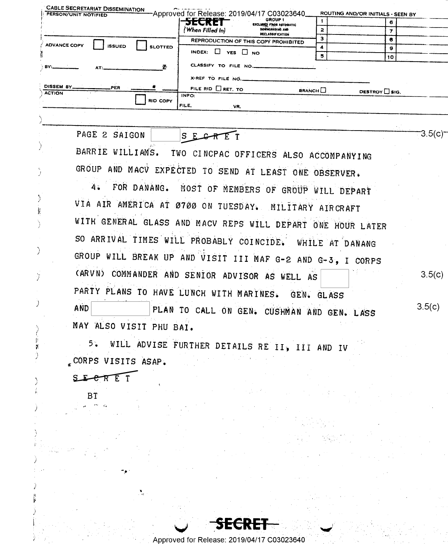| <b>CABLE SECRETARIAT DISSEMINATION</b><br>PERSON/UNIT NOTIFIED |                         |                                          | Approved for Release: 2019/04/17 C03023640                  |                            | ROUTING AND/OR INITIALS - SEEN BY |        |
|----------------------------------------------------------------|-------------------------|------------------------------------------|-------------------------------------------------------------|----------------------------|-----------------------------------|--------|
|                                                                |                         | SECKEI                                   | GROUP 1<br><b>EXCLUDED FROM AUTOMATIC</b>                   | 1                          | 6                                 |        |
|                                                                |                         | 'When Filled In)                         | DOWNGRADING AND<br><b>DECLASSIFICATION</b>                  | $\overline{2}$             | 7                                 |        |
| <b>ADVANCE COPY</b><br><b>ISSUED</b>                           | <b>SLOTTED</b>          |                                          | REPRODUCTION OF THIS COPY PROHIBITED                        | 3<br>4                     | 8                                 |        |
|                                                                |                         | INDEX: $\Box$ YES $\Box$ NO              |                                                             | 5                          | g<br>10                           |        |
|                                                                | 폰                       | CLASSIFY TO FILE NO.                     |                                                             |                            |                                   |        |
|                                                                |                         | X-REF TO FILE NO.                        |                                                             |                            |                                   |        |
| DISSEM BY.<br>PER<br><b>ACTION</b>                             |                         | FILE RID $\Box$ RET. TO<br>INFO:         |                                                             | <b>BRANCH</b> <sub>L</sub> | DESTROY SIG.                      |        |
|                                                                | RID COPY                | FILE.<br>VR.                             |                                                             |                            |                                   |        |
|                                                                |                         |                                          |                                                             |                            |                                   |        |
| PAGE 2 SAIGON                                                  |                         | $S$ E $G$ $R$                            |                                                             |                            |                                   | 3.5(c) |
|                                                                |                         | ΈΤ                                       |                                                             |                            |                                   |        |
| BARRIE WILLIAMS.                                               |                         |                                          | TWO CINCPAC OFFICERS ALSO ACCOMPANYING                      |                            |                                   |        |
|                                                                |                         |                                          | GROUP AND MACV EXPECTED TO SEND AT LEAST ONE OBSERVER.      |                            |                                   |        |
|                                                                |                         |                                          |                                                             |                            |                                   |        |
| 4.                                                             | FOR DANANG.             |                                          | MOST OF MEMBERS OF GROUP WILL DEPART                        |                            |                                   |        |
|                                                                |                         |                                          | VIA AIR AMERICA AT 0700 ON TUESDAY. MILITARY AIRCRAFT       |                            |                                   |        |
|                                                                |                         |                                          | WITH GENERAL GLASS AND MACV REPS WILL DEPART ONE HOUR LATER |                            |                                   |        |
|                                                                |                         |                                          |                                                             |                            |                                   |        |
|                                                                |                         | SO ARRIVAL TIMES WILL PROBABLY COINCIDE. |                                                             | WHILE AT DANANG            |                                   |        |
|                                                                |                         |                                          | GROUP WILL BREAK UP AND VISIT III MAF G-2 AND G-3, I CORPS  |                            |                                   |        |
|                                                                |                         |                                          |                                                             |                            |                                   |        |
|                                                                |                         |                                          | CARVN) COMMANDER AND SENIOR ADVISOR AS WELL AS              |                            |                                   | 3.5(c) |
|                                                                |                         |                                          | PARTY PLANS TO HAVE LUNCH WITH MARINES. GEN. GLASS          |                            |                                   |        |
| <b>AND</b>                                                     |                         |                                          | PLAN TO CALL ON GEN. CUSHMAN AND GEN. LASS                  |                            |                                   | 3.5(c) |
|                                                                |                         |                                          |                                                             |                            |                                   |        |
|                                                                | MAY ALSO VISIT PHU BAI. |                                          |                                                             |                            |                                   |        |
| 5.                                                             |                         |                                          | WILL ADVISE FURTHER DETAILS RE II, III AND IV               |                            |                                   |        |
| 80884 W.L                                                      | ن کال است مساحت ہ       |                                          |                                                             |                            |                                   |        |

WILL ADVISE FURTHER DETAILS RE II, III AND IV  $5^{\circ}$ .CORPS VISITS ASAP.

SE ERET

 $B\bar{T}$ 

 $\frac{5}{2}$ 

SE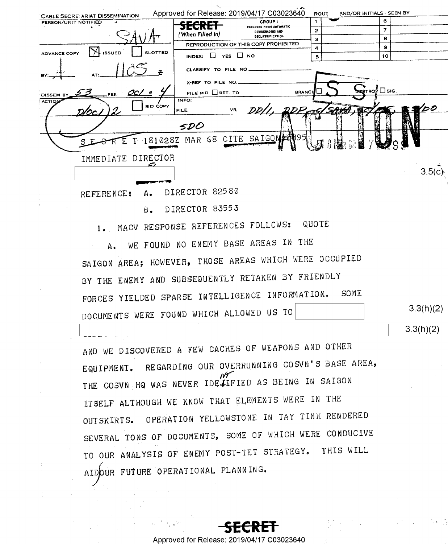| <b>CABLE SECRETARIAT DISSEMINATION</b> | Approved for Release: 2019/04/17 C03023640                            | AND/OR INITIALS - SEEN BY<br><b>ROUT</b> |           |
|----------------------------------------|-----------------------------------------------------------------------|------------------------------------------|-----------|
| PERSON/UNIT NOTIFIED                   | <b>GROUP 1</b><br><del>SECRET</del>                                   | 6<br>1                                   |           |
|                                        | <b>EXCLUDED FROM AUTOMATIC</b><br>DOWNGRADING AND<br>(When Filled In) | $\overline{7}$<br>$\mathbf{z}$           |           |
|                                        | DECLASSIFICATION                                                      | 8<br>3                                   |           |
| <b>SLOTTED</b>                         | REPRODUCTION OF THIS COPY PROHIBITED                                  | 9<br>4                                   |           |
| ADVANCE COPY<br><b>ISSUED</b>          | INDEX: $\Box$ YES $\Box$ NO                                           | 10<br>5                                  |           |
|                                        | CLASSIFY TO FILE NO                                                   |                                          |           |
|                                        | X-REF TO FILE NO.                                                     |                                          |           |
| PER.<br><b>DISSEM</b>                  | FILE RID RET. TO<br><b>BRANCH</b>                                     | <b>DESTROS</b> DIG.                      |           |
| <b>ACTIO</b>                           | INFO:                                                                 |                                          |           |
| <b>RID COPY</b><br>D/OC.I              | DD I<br>VR.<br>FILE.                                                  |                                          | っつ        |
|                                        | SDO                                                                   |                                          |           |
|                                        | 181028Z MAR 68 CITE SAIGON 2009                                       |                                          |           |
|                                        |                                                                       |                                          |           |
| DIRECTOR<br>IMMEDIATE                  |                                                                       |                                          |           |
|                                        |                                                                       |                                          | 3.5(c)    |
|                                        |                                                                       |                                          |           |
|                                        |                                                                       |                                          |           |
| REFERENCE:<br>A٠                       | DIRECTOR 82580                                                        |                                          |           |
| $B -$                                  | DIRECTOR 83553                                                        |                                          |           |
|                                        | 1. MACV RESPONSE REFERENCES FOLLOWS: QUOTE                            |                                          |           |
|                                        |                                                                       |                                          |           |
| Α.                                     | WE FOUND NO ENEMY BASE AREAS IN THE                                   |                                          |           |
|                                        | SAIGON AREA; HOWEVER, THOSE AREAS WHICH WERE OCCUPIED                 |                                          |           |
|                                        | BY THE ENEMY AND SUBSEQUENTLY RETAKEN BY FRIENDLY                     |                                          |           |
|                                        |                                                                       | SOME                                     |           |
|                                        | FORCES YIELDED SPARSE INTELLIGENCE INFORMATION.                       |                                          |           |
|                                        | DOCUMENTS WERE FOUND WHICH ALLOWED US TO                              |                                          | 3.3(h)(2) |
|                                        |                                                                       |                                          |           |

AND WE DISCOVERED A FEW CACHES OF WEAPONS AND OTHER EQUIPMENT. REGARDING OUR OVERRUNNING COSVN'S BASE AREA, THE COSUN HQ WAS NEVER IDESIFIED AS BEING IN SAIGON ITSELF ALTHOUGH WE KNOW THAT ELEMENTS WERE IN THE OUTSKIRTS. OPERATION YELLOWSTONE IN TAY TINH RENDERED SEVERAL TONS OF DOCUMENTS, SOME OF WHICH WERE CONDUCIVE TO OUR ANALYSIS OF ENEMY POST-TET STRATEGY. THIS WILL AIDOUR FUTURE OPERATIONAL PLANNING.

 $3.3(h)(2)$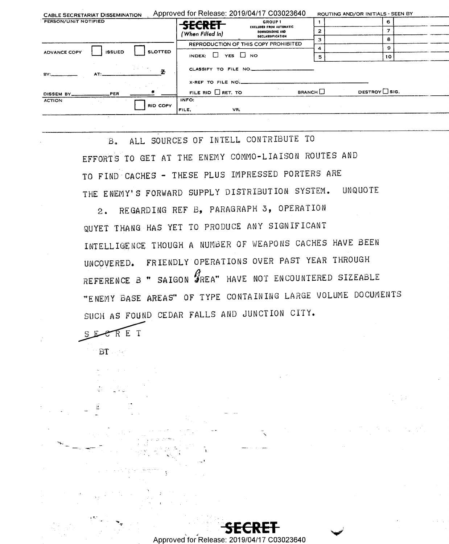| <b>CABLE SECRETARIAT DISSEMINATION</b>                 | Approved for Release: 2019/04/17 C03023640                            | ROUTING AND/OR INITIALS - SEEN BY |
|--------------------------------------------------------|-----------------------------------------------------------------------|-----------------------------------|
| PERSON/UNIT NOTIFIED                                   | GROUP <sub>1</sub><br><b>SECRET</b>                                   | 6.                                |
|                                                        | <b>EXCLUDED FROM AUTOMATIC</b><br>DOWNGRADING AND<br>(When Filled In) |                                   |
|                                                        | DECLASSIFICATION                                                      | 8                                 |
|                                                        | REPRODUCTION OF THIS COPY PROHIBITED                                  | 9                                 |
| <b>SLOTTED</b><br><b>ISSUED</b><br><b>ADVANCE COPY</b> | INDEX: $\Box$ YES $\Box$ NO                                           | 10<br>5                           |
| AT:<br><b>BY:</b>                                      | CLASSIFY TO FILE NO.                                                  |                                   |
|                                                        | X-REF TO FILE NO.                                                     |                                   |
| PER<br>DISSEM BY_                                      | All Corp.<br>FILE RID $\Box$ RET. TO                                  | DESTROY SIG.<br><b>BRANCH</b>     |
| <b>ACTION</b><br>RID COPY                              | INFO:<br>VR,<br>FILE,                                                 |                                   |
|                                                        |                                                                       |                                   |

ALL SOURCES OF INTELL CONTRIBUTE TO  $B_{\bullet}$ EFFORTS TO GET AT THE ENEMY COMMO-LIAISON ROUTES AND TO FIND CACHES - THESE PLUS IMPRESSED PORTERS ARE THE ENEMY'S FORWARD SUPPLY DISTRIBUTION SYSTEM. **UNQUOTE** 

REGARDING REF B, PARAGRAPH 3, OPERATION  $2.$ QUYET THANG HAS YET TO PRODUCE ANY SIGNIFICANT INTELLIGENCE THOUGH A NUMBER OF WEAPONS CACHES HAVE BEEN UNCOVERED. FRIENDLY OPERATIONS OVER PAST YEAR THROUGH REFERENCE B " SAIGON FREA" HAVE NOT ENCOUNTERED SIZEABLE "ENEMY BASE AREAS" OF TYPE CONTAINING LARGE VOLUME DOCUMENTS SUCH AS FOUND CEDAR FALLS AND JUNCTION CITY.

SECRET  $BT$ 

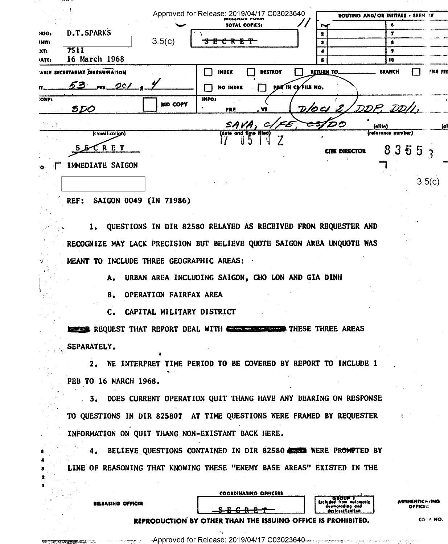|                                 |                                |                 | Approved for Release: 2019/04/17 C03023640 |                |                     |                      | ROUTING AND/OR INITIALS - SEEN IT |        |
|---------------------------------|--------------------------------|-----------------|--------------------------------------------|----------------|---------------------|----------------------|-----------------------------------|--------|
|                                 |                                |                 | <b>TOTAL COPIES:</b>                       |                |                     |                      |                                   |        |
| >RIG+                           | D.T.SPARKS                     |                 |                                            |                |                     |                      | 7                                 |        |
| <b>INIT:</b>                    |                                | 3.5(c)          | <del>u c r c </del>                        |                |                     |                      |                                   |        |
| XT <sub>i</sub><br><b>IATEI</b> | 7511<br>16 March 1968          |                 |                                            |                |                     |                      | ,<br>10                           |        |
|                                 | ABLE SECRETARIAT DISSEMINATION |                 | <b>INDEX</b>                               | <b>DESTROY</b> | RETURN TO.          |                      | <b>BRANCH</b>                     | 外儿餐 我们 |
|                                 | 53 ru 201                      |                 | <b>NO INDEX</b>                            |                | FILE IN CE FILE NO. |                      |                                   |        |
| <b>ONF</b>                      | <i><b>SDO</b></i>              | <b>RID COPY</b> | <b>INFO:</b><br>FILE                       | . VR           |                     |                      | DOCI 2/DDP, DDI                   |        |
|                                 |                                |                 | SAVA.                                      |                |                     |                      | (alita)                           |        |
|                                 | (clossification)               |                 | (date and time filed)                      |                |                     |                      | (reference number)                |        |
|                                 | RET<br>s &                     |                 |                                            |                |                     | <b>CITE DIRECTOR</b> | 8355                              |        |
|                                 | IMMEDIATE SAIGON               |                 |                                            |                |                     |                      |                                   |        |
|                                 |                                |                 |                                            |                |                     |                      |                                   | 3.5(c) |

## REF: SAIGON 0049 (IN 71986)

RELEASING OFFICER

.<br>בין כי המינים המינה של

1. QUESTIONS IN DIR 82580 RELAYED AS RECEIVED FROM REQUESTER AND RECOGNIZE MAY LACK PRECISION BUT BELIEVE QUOTE SAIGON AREA UNQUOTE WAS MEANT TO INCLUDE THREE GEOGRAPHIC AREAS:

A. URBAN AREA INCLUDING SAIGON, CHO LON AND GIA DINH

**B. OPERATION FAIRFAX AREA** 

C. CAPITAL MILITARY DISTRICT

**NEWSIAN REQUEST THAT REPORT DEAL WITH COLORED THESE THREE AREAS** SEPARATELY.

2. WE INTERPRET TIME PERIOD TO BE COVERED BY REPORT TO INCLUDE 1 FEB TO 16 MARCH 1968.

3. DOES CURRENT OPERATION QUIT THANG HAVE ANY BEARING ON RESPONSE TO QUESTIONS IN DIR 82580? AT TIME QUESTIONS WERE FRAMED BY REQUESTER INFORMATION ON QUIT THANG NON-EXISTANT BACK HERE.

4. BELIEVE QUESTIONS CONTAINED IN DIR 82580 COULD WERE PROMPTED BY LINE OF REASONING THAT KNOWING THESE "ENEMY BASE AREAS" EXISTED IN THE

|                 | <b>COORDINATING OFFICERS</b> |                                                            |
|-----------------|------------------------------|------------------------------------------------------------|
|                 |                              | Excluded from outon<br>derivereding on<br>declassification |
|                 | — <del>.</del>               |                                                            |
| الأولد لمراجعهم |                              |                                                            |

\UTHENTICA /ING OFFICER

natic

REPRODUCTION BY OTHER THAN THE ISSUING OFFIC **PROHIBITED.**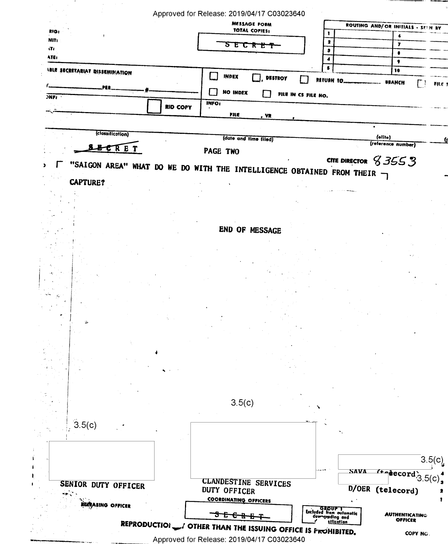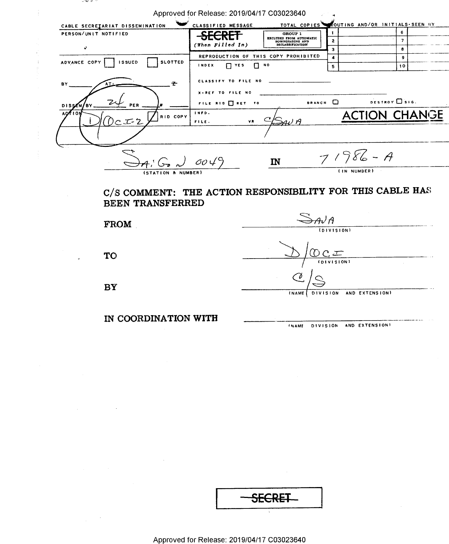| – ພະນະ                                          |                                            |                                                                                         |                                                           |
|-------------------------------------------------|--------------------------------------------|-----------------------------------------------------------------------------------------|-----------------------------------------------------------|
|                                                 | Approved for Release: 2019/04/17 C03023640 |                                                                                         |                                                           |
| CABLE SECRETARIAT DISSEMINATION                 | CLASSIFIED MESSAGE                         |                                                                                         | TOTAL COPIES COUTING AND/OR INITIALS-SEEN BY              |
| PERSON/UNIT NOTIFIED                            | <del>SECRET</del>                          | 1<br>GROUP 1                                                                            | 6                                                         |
|                                                 | (When Filled In)                           | <b>EXCLUDED FROM AUTOMATIC<br/>DOWNGRADING AND<br/>DECLASSIFICATION</b><br>$\mathbf{2}$ | $\overline{\phantom{a}}$                                  |
| e.                                              |                                            | з                                                                                       | 8                                                         |
| ADVANCE COPY<br><b>ISSUED</b><br><b>SLOTTED</b> |                                            | REPRODUCTION OF THIS COPY PROHIBITED<br>$\blacktriangleleft$                            | $\mathbf{9}$                                              |
|                                                 | <b>INDEX</b><br>$\Box$ $Y$ ES              | п ю<br>5                                                                                | 10                                                        |
| z<br>B٧                                         | CLASSIFY TO FILE NO                        |                                                                                         |                                                           |
|                                                 | X-REF TO FILE NO                           |                                                                                         |                                                           |
|                                                 | FILE RID TRET TO                           | BRANCH O                                                                                | DESTROY ISIG.                                             |
|                                                 | INFO.                                      |                                                                                         |                                                           |
| RID COPY                                        | FILE.<br>VR.                               | ZAV A                                                                                   | <b>ACTION CHANGE</b>                                      |
|                                                 |                                            |                                                                                         |                                                           |
|                                                 |                                            |                                                                                         |                                                           |
|                                                 | $A, G, J$ 0049                             | $\mathbf{I}$ N                                                                          | $71986 - A$                                               |
| <i><b>(STATION &amp; NUMBER</b></i>             |                                            |                                                                                         | (IN NUMBER)                                               |
| BEEN TRANSFERRED                                |                                            |                                                                                         | C/S COMMENT: THE ACTION RESPONSIBILITY FOR THIS CABLE HAS |
|                                                 |                                            | →nJA                                                                                    |                                                           |
| <b>FROM</b>                                     |                                            |                                                                                         | (DIVISION)                                                |
|                                                 |                                            |                                                                                         |                                                           |
|                                                 |                                            |                                                                                         |                                                           |
| <b>TO</b>                                       |                                            | ひCエ                                                                                     |                                                           |
|                                                 |                                            |                                                                                         | (DIVISION)                                                |
|                                                 |                                            |                                                                                         |                                                           |
| BY                                              |                                            |                                                                                         |                                                           |
|                                                 |                                            | <b>DIVISION</b><br><b>INAME</b>                                                         | AND EXTENSION)                                            |
|                                                 |                                            |                                                                                         |                                                           |
|                                                 |                                            |                                                                                         |                                                           |
| IN COORDINATION WITH                            |                                            |                                                                                         | INAME DIVISION AND EXTENSION!                             |
|                                                 |                                            |                                                                                         |                                                           |

 $\frac{1}{4}$ 

 $\label{eq:2.1} \mathcal{L}(\mathcal{L}^{\text{max}}_{\mathcal{L}}(\mathcal{L}^{\text{max}}_{\mathcal{L}})) \leq \mathcal{L}(\mathcal{L}^{\text{max}}_{\mathcal{L}}(\mathcal{L}^{\text{max}}_{\mathcal{L}}))$ 

 $\frac{1}{2} \frac{1}{2} \frac{d^2}{dx^2}$ 

| <del>SECRET</del> |  |
|-------------------|--|
|                   |  |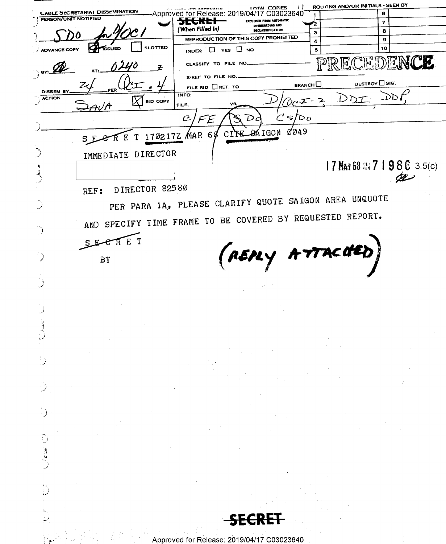ROU (ING AND/OR INITIALS - SEEN BY **COPIES**  $\cup$ **CABLE SECRETARIAT DISSEMINATION** Approved for Release: 2019/04/17 C03023640 6  $\mathbf{1}$ PERSON/UNIT NOTIFIED XECKH unan sa  $\overline{\mathbf{z}}$ ′2 (When Filled In) **DECLASSIFICATION**  $\bf{8}$ 3 REPRODUCTION OF THIS COPY PROHIBITED  $\boldsymbol{9}$  $\ddot{\phantom{a}}$ **SLOTTED** 10 **ADVANCE COPY SSUED** INDEX: U YES U NO 5 15. M  $\mathbb P$ CLASSIFY TO FILE NO Ø 0240 군 BY: X-REF TO FILE NO. **DESTROY**  $\Box$  SIG.  $BRANCH$ Z FILE RID  $\Box$  RET. TO PER DISSEM BY  $DDF$  $\frac{1}{2}$  ACTION INFO: DD7 ーコ Þ **RID COPY**  $\partial \rho$   $\bm{\mathcal{F}}$ FILE, VF  $\mathcal{H}/\mathcal{A}$  $\subset$  $\mathcal C$  $\mathbf{S}$  $\mathcal{D} \, o$  $\mathcal{D}$  $0049$ **SAIGON** MAR 68 CIFE 1702172 SECRE  $\mathbf{T}$ IMMEDIATE DIRECTOR 17 MAR 68 IN 7 1 9 8 6 3.5(c) æ DIRECTOR 82580 REF: PER PARA 1A, PLEASE CLARIFY QUOTE SAIGON AREA UNQUOTE AND SPECIFY TIME FRAME TO BE COVERED BY REQUESTED REPORT. SECRET (REPLY ATTACHED) ි **BT**  $\mathbb{D}$ 3  $\bigcup^{\mathbb{Z}}$ 114135 Approved for Release: 2019/04/17 C03023640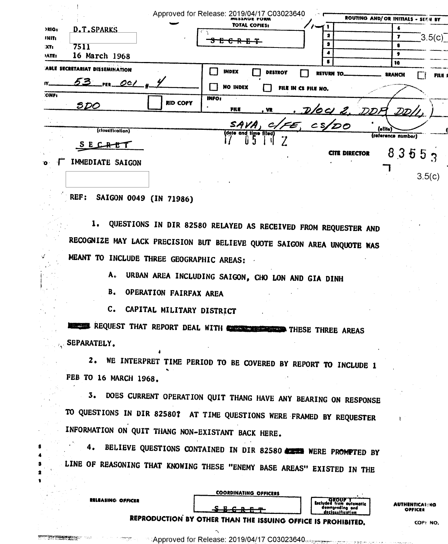| >RIG:<br><b>JNIT:</b>            | <b>D.T.SPARKS</b>                          |                 | Approved for Release: 2019/04/17 C03023640<br>ML33AGE FORM<br>TOTAL COPIES:<br><del>ሮ R E T</del><br>ъ | 2                                 |                      | ROUTING AND/ OR INITIALS - SEEN BY<br>7 | 3.5(c) |
|----------------------------------|--------------------------------------------|-----------------|--------------------------------------------------------------------------------------------------------|-----------------------------------|----------------------|-----------------------------------------|--------|
| 35T <sub>2</sub><br><b>IATE:</b> | 7511<br>16 March 1968                      |                 |                                                                                                        | э<br>6                            |                      |                                         |        |
|                                  | ABLE SECRETARIAT DISSEMINATION<br>53 m 001 |                 | <b>INDEX</b><br><b>DESTROY</b><br><b>NO INDEX</b>                                                      | RETURN TO.<br>FILE IN CS FILE NO. |                      | 10<br><b>BRANCH</b>                     | FILE 1 |
| <b>ONFI</b>                      | <u>spo</u>                                 | <b>RID COPY</b> | <b>INFO:</b><br>FILE<br>. VR                                                                           |                                   | DOUZ DDA             | $\mathcal{D}\mathcal{D} \prime$         |        |
|                                  | (clossification)<br>IMMEDIATE SAIGON       |                 | SAVA,<br>(date and time fited)                                                                         | $c/\epsilon$ , $cs/DO$            | <b>CITE DIRECTOR</b> | (olifo)<br>(reference number)<br>83553  |        |
| ъ                                |                                            |                 |                                                                                                        |                                   |                      |                                         | 3.5(c) |

## REF: SAIGON 0049 (IN 71986)

**RELEASING OFFICER** 

1. QUESTIONS IN DIR 82580 RELAYED AS RECEIVED FROM REQUESTER AND RECOGNIZE MAY LACK PRECISION BUT BELIEVE QUOTE SAIGON AREA UNQUOTE WAS MEANT TO INCLUDE THREE GEOGRAPHIC AREAS:

> URBAN AREA INCLUDING SAIGON, CHO LON AND GIA DINH Α.

**B. OPERATION FAIRFAX AREA** 

C. CAPITAL MILITARY DISTRICT

REQUEST THAT REPORT DEAL WITH **CONSTRUCTS** THESE THREE AREAS SEPARATELY.

2. WE INTERPRET TIME PERIOD TO BE COVERED BY REPORT TO INCLUDE 1 FEB TO 16 MARCH 1968.

3. DOES CURRENT OPERATION QUIT THANG HAVE ANY BEARING ON RESPONSE TO QUESTIONS IN DIR 82580? AT TIME QUESTIONS WERE FRAMED BY REQUESTER INFORMATION ON QUIT THANG NON-EXISTANT BACK HERE.

4. BELIEVE QUESTIONS CONTAINED IN DIR 82580 CERE WERE PROMPTED BY LINE OF REASONING THAT KNOWING THESE "ENEMY BASE AREAS" EXISTED IN THE

**COORDINATING OFFICERS** 

**AUTHENTICATING** OFFICER

**GROUP** 

downgrading and

<u>declassification</u>

İtamatla

REPRODUCTION BY OTHER THAN THE ISSUING OFFICE IS PROHIBITED.

COPY NO.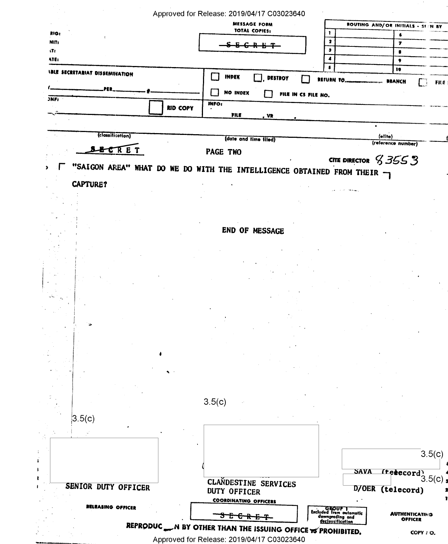|                                       | Approved for Release: 2019/04/17 C03023640                            |                                                                                                    |
|---------------------------------------|-----------------------------------------------------------------------|----------------------------------------------------------------------------------------------------|
|                                       | <b>MESSAGE FORM</b><br>TOTAL COPIES:                                  | ROUTING AND/ OR INITIALS - SEEN BY                                                                 |
| RIG:                                  |                                                                       | ı<br>$\bullet$                                                                                     |
| NIT:<br>уŤг                           |                                                                       | 2<br>7<br>э<br>$\bullet$                                                                           |
| ATE:                                  |                                                                       | 4<br>$\bullet$                                                                                     |
| <b>IBLE SECRETARIAT DISSEMINATION</b> |                                                                       | 5<br>10                                                                                            |
|                                       | <b>INDEX</b><br>DESTROY                                               | RETURN TO.<br><b>MANCH</b><br>FIL€                                                                 |
|                                       | <b>NO INDEX</b>                                                       | FILE IN CS FILE NO.                                                                                |
| JNF <sub>i</sub>                      | <b>INFO:</b>                                                          |                                                                                                    |
|                                       | <b>RID COPY</b><br>FILE<br><u>, VR</u>                                |                                                                                                    |
|                                       |                                                                       |                                                                                                    |
| (classification)                      | (date and time filed)                                                 | (elite)                                                                                            |
| ET                                    |                                                                       | (reference number)                                                                                 |
|                                       | PAGE TWO                                                              | CITE DIRECTOR $$35553$                                                                             |
|                                       | "SAIGON AREA" WHAT DO WE DO WITH THE INTELLIGENCE OBTAINED FROM THEIR |                                                                                                    |
|                                       |                                                                       |                                                                                                    |
| <b>CAPTURE?</b>                       |                                                                       |                                                                                                    |
|                                       |                                                                       |                                                                                                    |
|                                       |                                                                       |                                                                                                    |
|                                       |                                                                       |                                                                                                    |
|                                       | END OF MESSAGE                                                        |                                                                                                    |
|                                       |                                                                       |                                                                                                    |
|                                       |                                                                       |                                                                                                    |
|                                       |                                                                       |                                                                                                    |
|                                       |                                                                       |                                                                                                    |
|                                       |                                                                       |                                                                                                    |
|                                       |                                                                       |                                                                                                    |
|                                       |                                                                       |                                                                                                    |
|                                       |                                                                       |                                                                                                    |
|                                       |                                                                       |                                                                                                    |
|                                       |                                                                       |                                                                                                    |
|                                       |                                                                       |                                                                                                    |
|                                       |                                                                       |                                                                                                    |
|                                       |                                                                       |                                                                                                    |
|                                       |                                                                       |                                                                                                    |
|                                       |                                                                       |                                                                                                    |
|                                       | 3.5(c)                                                                |                                                                                                    |
| 3.5(c)                                |                                                                       |                                                                                                    |
|                                       |                                                                       |                                                                                                    |
|                                       |                                                                       |                                                                                                    |
|                                       |                                                                       | 3.5(c)                                                                                             |
|                                       |                                                                       |                                                                                                    |
|                                       |                                                                       | <b>SAVA</b><br>Trecord, $3.5(c)$                                                                   |
| SENIOR DUTY OFFICER                   | CLANDESTINE SERVICES                                                  |                                                                                                    |
|                                       | <b>DUTY OFFICER</b>                                                   | D/OER (telecord)                                                                                   |
| RELEASING OFFICER                     | <b>COORDINATING OFFICERS</b>                                          |                                                                                                    |
|                                       | ¢<br>ᇎ                                                                | GROUP 1<br>Excluded from outomatic<br>downgrading and<br>declossification<br><b>AUTHENTICATING</b> |
|                                       |                                                                       | <b>OFFICER</b><br>REPRODUC WE BY OTHER THAN THE ISSUING OFFICE TO PROHIBITED.                      |

 $\sigma_{\rm c}$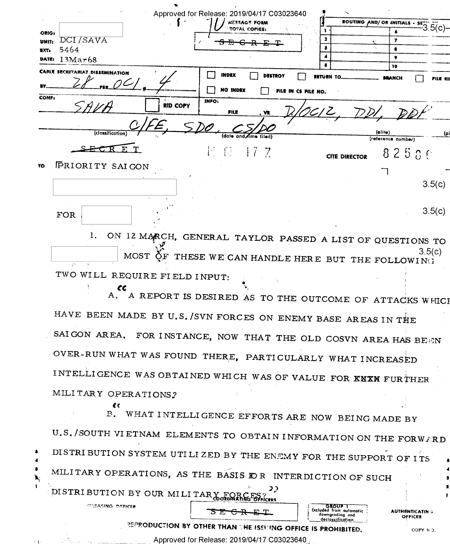|                                                     |                                        |                 |                 | Approved for Release: 2019/04/17 C03023640 |                     | `                    |                               |          |
|-----------------------------------------------------|----------------------------------------|-----------------|-----------------|--------------------------------------------|---------------------|----------------------|-------------------------------|----------|
|                                                     |                                        |                 |                 | MASSAGE FORM<br>TOTAL COPIES:              |                     |                      | ROUTING AND/ OR INITIALS - SE |          |
| ORIG:                                               | DCI/SAVA                               |                 |                 |                                            |                     |                      | 7                             |          |
| UNIT <sub>I</sub><br>$\blacksquare$ XT <sub>2</sub> | 5464                                   |                 |                 |                                            |                     |                      |                               |          |
|                                                     | DATE: 13Mar68                          |                 |                 |                                            |                     |                      | ٠                             |          |
|                                                     |                                        |                 |                 |                                            |                     |                      | 10                            |          |
|                                                     | <b>CABLE SECRETARIAT DISSEMINATION</b> |                 | <b>INDEX</b>    | <b>DESTROY</b>                             |                     | <b>RETURN TO_</b>    | <b>BRANCH</b>                 | FILE XII |
|                                                     |                                        |                 |                 |                                            |                     |                      |                               |          |
| <b>CONF:</b>                                        |                                        |                 | <b>NO INDEX</b> |                                            | FILE IN CS FILE NO. |                      |                               |          |
|                                                     |                                        | <b>RID COPY</b> | INFO:           |                                            |                     |                      |                               |          |
|                                                     |                                        |                 | FILE            | . VR                                       |                     |                      |                               |          |
|                                                     |                                        |                 |                 |                                            |                     |                      |                               |          |
|                                                     | (classification)                       |                 |                 | (date and firms filed)                     |                     |                      | (elite)                       | (p)      |
|                                                     |                                        |                 |                 |                                            |                     |                      | (reference number)            |          |
|                                                     |                                        |                 | F G             | 17.7                                       |                     |                      | 82500                         |          |
|                                                     |                                        |                 |                 |                                            |                     | <b>CITE DIRECTOR</b> |                               |          |
| тo                                                  | FRIORITY SAIGON                        |                 |                 |                                            |                     |                      |                               |          |
|                                                     |                                        |                 |                 |                                            |                     |                      |                               |          |
|                                                     |                                        |                 |                 |                                            |                     |                      |                               | 3.5(c)   |
|                                                     |                                        | $\sim$          |                 |                                            |                     |                      |                               |          |
|                                                     |                                        |                 |                 |                                            |                     |                      |                               | 3.5(c)   |
|                                                     | <b>FOR</b>                             |                 |                 |                                            |                     |                      |                               |          |

ON 12 MARCH, GENERAL TAYLOR PASSED A LIST OF QUESTIONS TO  $\mathbf{1}$ .  $3.5(c)$ MOST  $\bar{Q}_F$  THESE WE CAN HANDLE HERE BUT THE FOLLOWING TWO WILL REQUIRE FIELD INPUT:

A REPORT IS DESIRED AS TO THE OUTCOME OF ATTACKS WHICH HAVE BEEN MADE BY U.S. /SVN FORCES ON ENEMY BASE AREAS IN THE SAIGON AREA. FOR INSTANCE, NOW THAT THE OLD COSVN AREA HAS BEEN OVER-RUN WHAT WAS FOUND THERE, PARTICULARLY WHAT INCREASED INTELLIGENCE WAS OBTAINED WHICH WAS OF VALUE FOR KNXM FURTHER MILITARY OPERATIONS?

WHAT INTELLIGENCE EFFORTS ARE NOW BEING MADE BY  $B_{-}$ U.S. /SOUTH VIETNAM ELEMENTS TO OBTAIN INFORMATION ON THE FORWARD DISTRIBUTION SYSTEM UTILIZED BY THE ENEMY FOR THE SUPPORT OF ITS MILITARY OPERATIONS, AS THE BASIS IDR INTERDICTION OF SUCH DISTRIBUTION BY OUR MILITARY FORCES? *WELEASING OFFICER* 

Excluded from automatic

downarading and

declassification

**AUTHÉNTICATING** 

OFFICER

COPY NO.

t t

REPRODUCTION BY OTHER THAN THE ISSUING OFFICE IS PROHIBITED.

<del>SE CRI</del>E